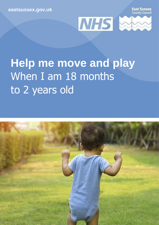**[eastsussex.gov.uk](http://eastsussex.gov.uk/)**

**East Sussex**<br>County Counci



# **Help me move and play** When I am 18 months to 2 years old

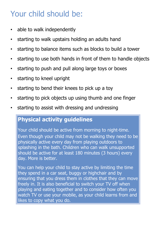## Your child should be:

- able to walk independently
- starting to walk upstairs holding an adults hand
- starting to balance items such as blocks to build a tower
- starting to use both hands in front of them to handle objects
- starting to push and pull along large toys or boxes
- starting to kneel upright
- starting to bend their knees to pick up a toy
- starting to pick objects up using thumb and one finger
- starting to assist with dressing and undressing

### **Physical activity guidelines**

Your child should be active from morning to night-time. Even though your child may not be walking they need to be physically active every day from playing outdoors to splashing in the bath. Children who can walk unsupported should be active for at least 180 minutes (3 hours) every day. More is better.

You can help your child to stay active by limiting the time they spend in a car seat, buggy or highchair and by ensuring that you dress them in clothes that they can move freely in. It is also beneficial to switch your TV off when playing and eating together and to consider how often you watch TV or use your mobile, as your child learns from and likes to copy what you do.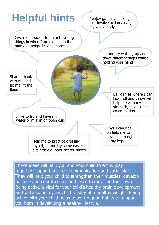

These ideas will help you and your child to enjoy play together; supporting their communication and social skills. They will help your child to strengthen their muscles, develop balance and coordination, and learn to move on their own. Being active is vital for your child's healthy brain development and will also help your child to stay at a healthy weight. Being active with your child helps to set up good habits to support you both in developing a healthy lifestyle.